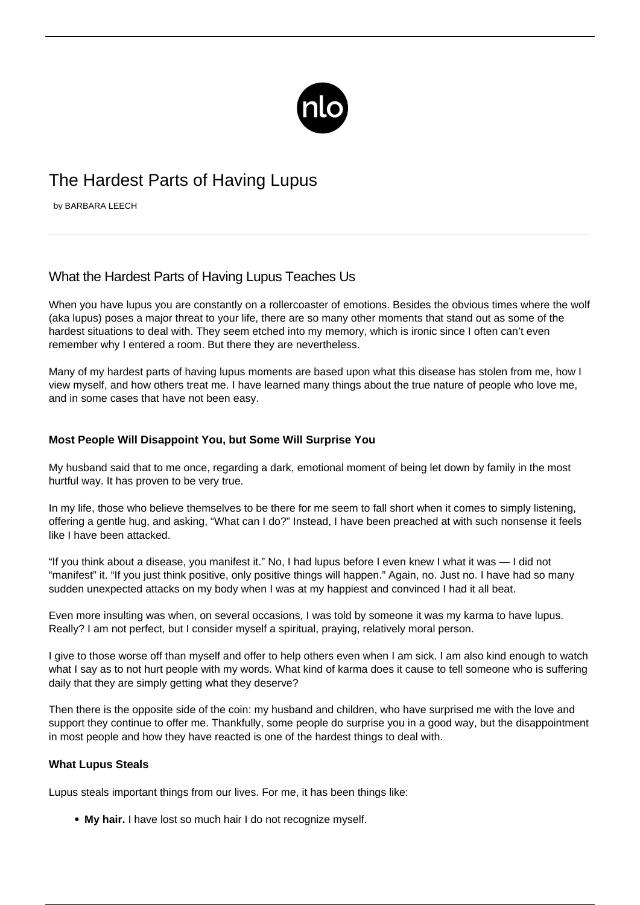

# The Hardest Parts of Having Lupus

by BARBARA LEECH

# What the Hardest Parts of Having Lupus Teaches Us

When you have lupus you are constantly on a rollercoaster of emotions. Besides the obvious times where the wolf (aka lupus) poses a major threat to your life, there are so many other moments that stand out as some of the hardest situations to deal with. They seem etched into my memory, which is ironic since I often can't even remember why I entered a room. But there they are nevertheless.

Many of my hardest parts of having lupus moments are based upon what this disease has stolen from me, how I view myself, and [how others treat me](/avoiding-societal-stigma/). I have learned many things about the true nature of people who love me, and in some cases that have not been easy.

## **Most People Will Disappoint You, but Some Will Surprise You**

My husband said that to me once, regarding a dark, emotional moment of being let down by family in the most hurtful way. It has proven to be very true.

In my life, those who believe themselves to be there for me seem to fall short when it comes to simply listening, offering a gentle hug, and asking, "What can I do?" Instead, I have been preached at with such nonsense it feels like I have been attacked.

"If you think about a disease, you manifest it." No, I had lupus before I even knew I what it was — I did not "manifest" it. "If you just think positive, only positive things will happen." Again, no. Just no. I have had so many sudden unexpected attacks on my body when I was at my happiest and convinced I had it all beat.

Even more insulting was when, on several occasions, I was told by someone it was my karma to have lupus. Really? I am not perfect, but I consider myself a spiritual, praying, relatively moral person.

I give to those worse off than myself and offer to help others even when I am sick. I am also kind enough to watch what I say as to not hurt people with my words. What kind of karma does it cause to tell someone who is suffering daily that they are simply getting what they deserve?

Then there is the opposite side of the coin: my husband and children, who have surprised me with the love and support they continue to offer me. Thankfully, some people do surprise you in a good way, but the disappointment in most people and how they have reacted is one of the hardest things to deal with.

### **What Lupus Steals**

Lupus steals important things from our lives. For me, it has been things like:

**My hair.** I have lost so much hair I do not recognize myself.